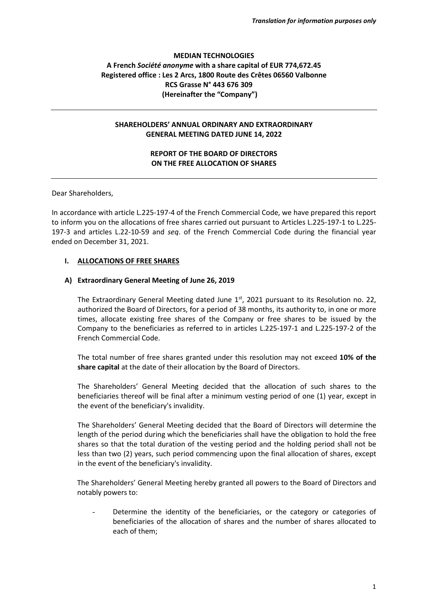# **MEDIAN TECHNOLOGIES A French** *Société anonyme* **with a share capital of EUR 774,672.45 Registered office : Les 2 Arcs, 1800 Route des Crêtes 06560 Valbonne RCS Grasse N° 443 676 309 (Hereinafter the "Company")**

## **SHAREHOLDERS' ANNUAL ORDINARY AND EXTRAORDINARY GENERAL MEETING DATED JUNE 14, 2022**

# **REPORT OF THE BOARD OF DIRECTORS ON THE FREE ALLOCATION OF SHARES**

Dear Shareholders,

In accordance with article L.225-197-4 of the French Commercial Code, we have prepared this report to inform you on the allocations of free shares carried out pursuant to Articles L.225-197-1 to L.225- 197-3 and articles L.22-10-59 and *seq*. of the French Commercial Code during the financial year ended on December 31, 2021.

### **I. ALLOCATIONS OF FREE SHARES**

#### **A) Extraordinary General Meeting of June 26, 2019**

The Extraordinary General Meeting dated June  $1<sup>st</sup>$ , 2021 pursuant to its Resolution no. 22, authorized the Board of Directors, for a period of 38 months, its authority to, in one or more times, allocate existing free shares of the Company or free shares to be issued by the Company to the beneficiaries as referred to in articles L.225-197-1 and L.225-197-2 of the French Commercial Code.

The total number of free shares granted under this resolution may not exceed **10% of the share capital** at the date of their allocation by the Board of Directors.

The Shareholders' General Meeting decided that the allocation of such shares to the beneficiaries thereof will be final after a minimum vesting period of one (1) year, except in the event of the beneficiary's invalidity.

The Shareholders' General Meeting decided that the Board of Directors will determine the length of the period during which the beneficiaries shall have the obligation to hold the free shares so that the total duration of the vesting period and the holding period shall not be less than two (2) years, such period commencing upon the final allocation of shares, except in the event of the beneficiary's invalidity.

The Shareholders' General Meeting hereby granted all powers to the Board of Directors and notably powers to:

Determine the identity of the beneficiaries, or the category or categories of beneficiaries of the allocation of shares and the number of shares allocated to each of them;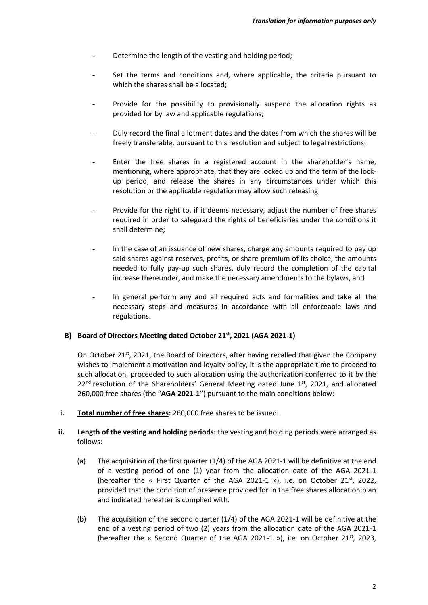- Determine the length of the vesting and holding period;
- Set the terms and conditions and, where applicable, the criteria pursuant to which the shares shall be allocated;
- Provide for the possibility to provisionally suspend the allocation rights as provided for by law and applicable regulations;
- Duly record the final allotment dates and the dates from which the shares will be freely transferable, pursuant to this resolution and subject to legal restrictions;
- Enter the free shares in a registered account in the shareholder's name, mentioning, where appropriate, that they are locked up and the term of the lockup period, and release the shares in any circumstances under which this resolution or the applicable regulation may allow such releasing;
- Provide for the right to, if it deems necessary, adjust the number of free shares required in order to safeguard the rights of beneficiaries under the conditions it shall determine;
- In the case of an issuance of new shares, charge any amounts required to pay up said shares against reserves, profits, or share premium of its choice, the amounts needed to fully pay-up such shares, duly record the completion of the capital increase thereunder, and make the necessary amendments to the bylaws, and
- In general perform any and all required acts and formalities and take all the necessary steps and measures in accordance with all enforceable laws and regulations.

## **B) Board of Directors Meeting dated October 21st, 2021 (AGA 2021-1)**

On October 21<sup>st</sup>, 2021, the Board of Directors, after having recalled that given the Company wishes to implement a motivation and loyalty policy, it is the appropriate time to proceed to such allocation, proceeded to such allocation using the authorization conferred to it by the  $22<sup>nd</sup>$  resolution of the Shareholders' General Meeting dated June  $1<sup>st</sup>$ , 2021, and allocated 260,000 free shares (the "**AGA 2021-1**") pursuant to the main conditions below:

**i. Total number of free shares:** 260,000 free shares to be issued.

## ii. **Length of the vesting and holding periods:** the vesting and holding periods were arranged as follows:

- (a) The acquisition of the first quarter (1/4) of the AGA 2021-1 will be definitive at the end of a vesting period of one (1) year from the allocation date of the AGA 2021-1 (hereafter the « First Quarter of the AGA 2021-1 »), i.e. on October 21 $st$ , 2022, provided that the condition of presence provided for in the free shares allocation plan and indicated hereafter is complied with.
- (b) The acquisition of the second quarter (1/4) of the AGA 2021-1 will be definitive at the end of a vesting period of two (2) years from the allocation date of the AGA 2021-1 (hereafter the « Second Quarter of the AGA 2021-1 »), i.e. on October 21 $st$ , 2023,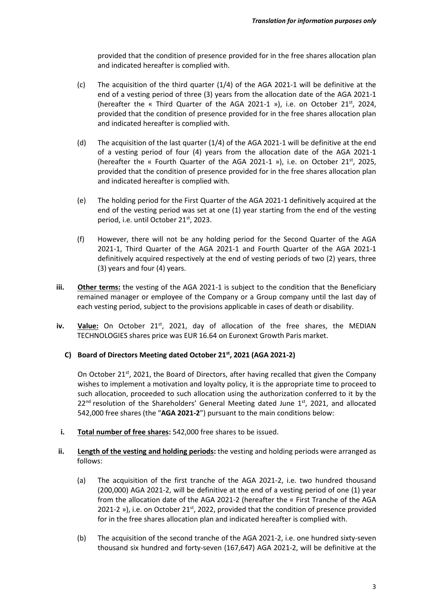provided that the condition of presence provided for in the free shares allocation plan and indicated hereafter is complied with.

- (c) The acquisition of the third quarter (1/4) of the AGA 2021-1 will be definitive at the end of a vesting period of three (3) years from the allocation date of the AGA 2021-1 (hereafter the « Third Quarter of the AGA 2021-1 »), i.e. on October 21 $st$ , 2024, provided that the condition of presence provided for in the free shares allocation plan and indicated hereafter is complied with.
- (d) The acquisition of the last quarter (1/4) of the AGA 2021-1 will be definitive at the end of a vesting period of four (4) years from the allocation date of the AGA 2021-1 (hereafter the « Fourth Quarter of the AGA 2021-1 »), i.e. on October 21 $st$ , 2025, provided that the condition of presence provided for in the free shares allocation plan and indicated hereafter is complied with.
- (e) The holding period for the First Quarter of the AGA 2021-1 definitively acquired at the end of the vesting period was set at one (1) year starting from the end of the vesting period, i.e. until October 21<sup>st</sup>, 2023.
- (f) However, there will not be any holding period for the Second Quarter of the AGA 2021-1, Third Quarter of the AGA 2021-1 and Fourth Quarter of the AGA 2021-1 definitively acquired respectively at the end of vesting periods of two (2) years, three (3) years and four (4) years.
- iii. **Other terms:** the vesting of the AGA 2021-1 is subject to the condition that the Beneficiary remained manager or employee of the Company or a Group company until the last day of each vesting period, subject to the provisions applicable in cases of death or disability.
- **iv.** Value: On October 21<sup>st</sup>, 2021, day of allocation of the free shares, the MEDIAN TECHNOLOGIES shares price was EUR 16.64 on Euronext Growth Paris market.
	- **C) Board of Directors Meeting dated October 21st, 2021 (AGA 2021-2)**

On October 21<sup>st</sup>, 2021, the Board of Directors, after having recalled that given the Company wishes to implement a motivation and loyalty policy, it is the appropriate time to proceed to such allocation, proceeded to such allocation using the authorization conferred to it by the  $22<sup>nd</sup>$  resolution of the Shareholders' General Meeting dated June  $1<sup>st</sup>$ , 2021, and allocated 542,000 free shares (the "**AGA 2021-2**") pursuant to the main conditions below:

- **i. Total number of free shares:** 542,000 free shares to be issued.
- ii. Length of the vesting and holding periods: the vesting and holding periods were arranged as follows:
	- (a) The acquisition of the first tranche of the AGA 2021-2, i.e. two hundred thousand (200,000) AGA 2021-2, will be definitive at the end of a vesting period of one (1) year from the allocation date of the AGA 2021-2 (hereafter the « First Tranche of the AGA 2021-2 »), i.e. on October 21 $<sup>st</sup>$ , 2022, provided that the condition of presence provided</sup> for in the free shares allocation plan and indicated hereafter is complied with.
	- (b) The acquisition of the second tranche of the AGA 2021-2, i.e. one hundred sixty-seven thousand six hundred and forty-seven (167,647) AGA 2021-2, will be definitive at the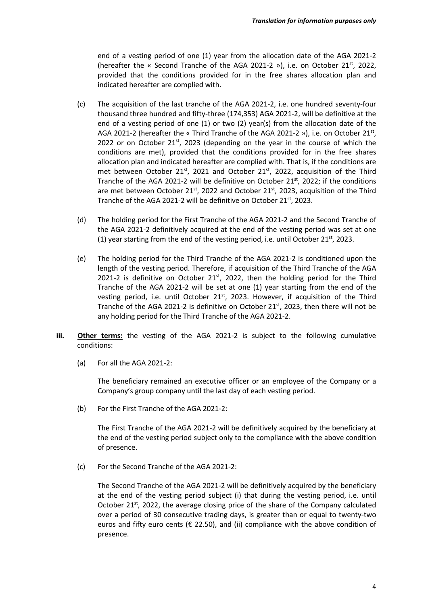end of a vesting period of one (1) year from the allocation date of the AGA 2021-2 (hereafter the « Second Tranche of the AGA 2021-2 »), i.e. on October 21 $st$ , 2022, provided that the conditions provided for in the free shares allocation plan and indicated hereafter are complied with.

- (c) The acquisition of the last tranche of the AGA 2021-2, i.e. one hundred seventy-four thousand three hundred and fifty-three (174,353) AGA 2021-2, will be definitive at the end of a vesting period of one (1) or two (2) year(s) from the allocation date of the AGA 2021-2 (hereafter the « Third Tranche of the AGA 2021-2 »), i.e. on October 21<sup>st</sup>, 2022 or on October  $21^{st}$ , 2023 (depending on the year in the course of which the conditions are met), provided that the conditions provided for in the free shares allocation plan and indicated hereafter are complied with. That is, if the conditions are met between October  $21^{st}$ , 2021 and October  $21^{st}$ , 2022, acquisition of the Third Tranche of the AGA 2021-2 will be definitive on October 21 $st$ , 2022; if the conditions are met between October 21st, 2022 and October 21st, 2023, acquisition of the Third Tranche of the AGA 2021-2 will be definitive on October 21<sup>st</sup>, 2023.
- (d) The holding period for the First Tranche of the AGA 2021-2 and the Second Tranche of the AGA 2021-2 definitively acquired at the end of the vesting period was set at one (1) year starting from the end of the vesting period, i.e. until October 21<sup>st</sup>, 2023.
- (e) The holding period for the Third Tranche of the AGA 2021-2 is conditioned upon the length of the vesting period. Therefore, if acquisition of the Third Tranche of the AGA 2021-2 is definitive on October 21<sup>st</sup>, 2022, then the holding period for the Third Tranche of the AGA 2021-2 will be set at one (1) year starting from the end of the vesting period, i.e. until October  $21^{st}$ , 2023. However, if acquisition of the Third Tranche of the AGA 2021-2 is definitive on October 21<sup>st</sup>, 2023, then there will not be any holding period for the Third Tranche of the AGA 2021-2.
- **iii. Other terms:** the vesting of the AGA 2021-2 is subject to the following cumulative conditions:
	- (a) For all the AGA 2021-2:

The beneficiary remained an executive officer or an employee of the Company or a Company's group company until the last day of each vesting period.

(b) For the First Tranche of the AGA 2021-2:

The First Tranche of the AGA 2021-2 will be definitively acquired by the beneficiary at the end of the vesting period subject only to the compliance with the above condition of presence.

(c) For the Second Tranche of the AGA 2021-2:

The Second Tranche of the AGA 2021-2 will be definitively acquired by the beneficiary at the end of the vesting period subject (i) that during the vesting period, i.e. until October 21 $st$ , 2022, the average closing price of the share of the Company calculated over a period of 30 consecutive trading days, is greater than or equal to twenty-two euros and fifty euro cents ( $\epsilon$  22.50), and (ii) compliance with the above condition of presence.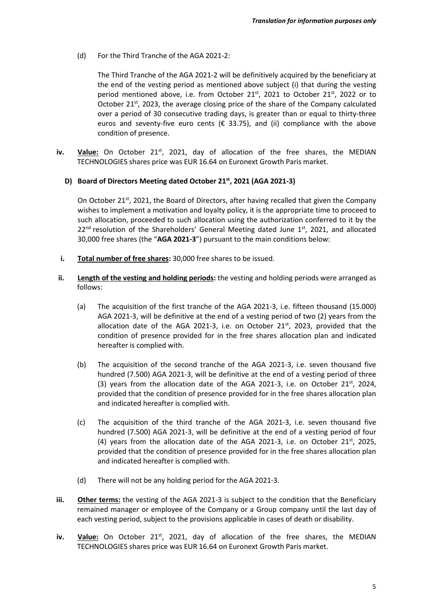(d) For the Third Tranche of the AGA 2021-2:

The Third Tranche of the AGA 2021-2 will be definitively acquired by the beneficiary at the end of the vesting period as mentioned above subject (i) that during the vesting period mentioned above, i.e. from October  $21^{st}$ , 2021 to October  $21^{st}$ , 2022 or to October 21 $<sup>st</sup>$ , 2023, the average closing price of the share of the Company calculated</sup> over a period of 30 consecutive trading days, is greater than or equal to thirty-three euros and seventy-five euro cents ( $\epsilon$  33.75), and (ii) compliance with the above condition of presence.

**iv.** Value: On October 21<sup>st</sup>, 2021, day of allocation of the free shares, the MEDIAN TECHNOLOGIES shares price was EUR 16.64 on Euronext Growth Paris market.

### **D) Board of Directors Meeting dated October 21st, 2021 (AGA 2021-3)**

On October 21<sup>st</sup>, 2021, the Board of Directors, after having recalled that given the Company wishes to implement a motivation and loyalty policy, it is the appropriate time to proceed to such allocation, proceeded to such allocation using the authorization conferred to it by the  $22<sup>nd</sup>$  resolution of the Shareholders' General Meeting dated June  $1<sup>st</sup>$ , 2021, and allocated 30,000 free shares (the "**AGA 2021-3**") pursuant to the main conditions below:

- **i. Total number of free shares:** 30,000 free shares to be issued.
- **ii. Length of the vesting and holding periods:** the vesting and holding periods were arranged as follows:
	- (a) The acquisition of the first tranche of the AGA 2021-3, i.e. fifteen thousand (15.000) AGA 2021-3, will be definitive at the end of a vesting period of two (2) years from the allocation date of the AGA 2021-3, i.e. on October 21 $^{st}$ , 2023, provided that the condition of presence provided for in the free shares allocation plan and indicated hereafter is complied with.
	- (b) The acquisition of the second tranche of the AGA 2021-3, i.e. seven thousand five hundred (7.500) AGA 2021-3, will be definitive at the end of a vesting period of three (3) years from the allocation date of the AGA 2021-3, i.e. on October 21 $st$ , 2024, provided that the condition of presence provided for in the free shares allocation plan and indicated hereafter is complied with.
	- (c) The acquisition of the third tranche of the AGA 2021-3, i.e. seven thousand five hundred (7.500) AGA 2021-3, will be definitive at the end of a vesting period of four (4) years from the allocation date of the AGA 2021-3, i.e. on October 21 $st$ , 2025, provided that the condition of presence provided for in the free shares allocation plan and indicated hereafter is complied with.
	- (d) There will not be any holding period for the AGA 2021-3.
- **iii. Other terms:** the vesting of the AGA 2021-3 is subject to the condition that the Beneficiary remained manager or employee of the Company or a Group company until the last day of each vesting period, subject to the provisions applicable in cases of death or disability.
- **iv.** Value: On October 21<sup>st</sup>, 2021, day of allocation of the free shares, the MEDIAN TECHNOLOGIES shares price was EUR 16.64 on Euronext Growth Paris market.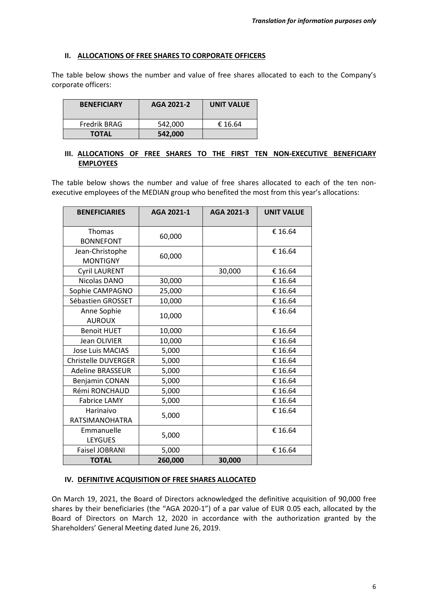### **II. ALLOCATIONS OF FREE SHARES TO CORPORATE OFFICERS**

The table below shows the number and value of free shares allocated to each to the Company's corporate officers:

| <b>BENEFICIARY</b> | AGA 2021-2 | <b>UNIT VALUE</b> |
|--------------------|------------|-------------------|
| Fredrik BRAG       | 542.000    | € 16.64           |
| <b>TOTAL</b>       | 542,000    |                   |

# **III. ALLOCATIONS OF FREE SHARES TO THE FIRST TEN NON-EXECUTIVE BENEFICIARY EMPLOYEES**

The table below shows the number and value of free shares allocated to each of the ten nonexecutive employees of the MEDIAN group who benefited the most from this year's allocations:

| <b>BENEFICIARIES</b>               | AGA 2021-1 | AGA 2021-3 | <b>UNIT VALUE</b> |
|------------------------------------|------------|------------|-------------------|
| <b>Thomas</b><br><b>BONNEFONT</b>  | 60,000     |            | € 16.64           |
| Jean-Christophe<br><b>MONTIGNY</b> | 60,000     |            | € 16.64           |
| <b>Cyril LAURENT</b>               |            | 30,000     | € 16.64           |
| Nicolas DANO                       | 30,000     |            | € 16.64           |
| Sophie CAMPAGNO                    | 25,000     |            | € 16.64           |
| Sébastien GROSSET                  | 10,000     |            | € 16.64           |
| Anne Sophie<br><b>AUROUX</b>       | 10,000     |            | € 16.64           |
| <b>Benoit HUET</b>                 | 10,000     |            | € 16.64           |
| <b>Jean OLIVIER</b>                | 10,000     |            | € 16.64           |
| <b>Jose Luis MACIAS</b>            | 5,000      |            | € 16.64           |
| <b>Christelle DUVERGER</b>         | 5,000      |            | € 16.64           |
| <b>Adeline BRASSEUR</b>            | 5,000      |            | € 16.64           |
| Benjamin CONAN                     | 5,000      |            | € 16.64           |
| Rémi RONCHAUD                      | 5,000      |            | € 16.64           |
| <b>Fabrice LAMY</b>                | 5,000      |            | € 16.64           |
| Harinaivo<br><b>RATSIMANOHATRA</b> | 5,000      |            | € 16.64           |
| Emmanuelle<br>LEYGUES              | 5,000      |            | € 16.64           |
| <b>Faisel JOBRANI</b>              | 5,000      |            | € 16.64           |
| <b>TOTAL</b>                       | 260,000    | 30,000     |                   |

### **IV. DEFINITIVE ACQUISITION OF FREE SHARES ALLOCATED**

On March 19, 2021, the Board of Directors acknowledged the definitive acquisition of 90,000 free shares by their beneficiaries (the "AGA 2020-1") of a par value of EUR 0.05 each, allocated by the Board of Directors on March 12, 2020 in accordance with the authorization granted by the Shareholders' General Meeting dated June 26, 2019.